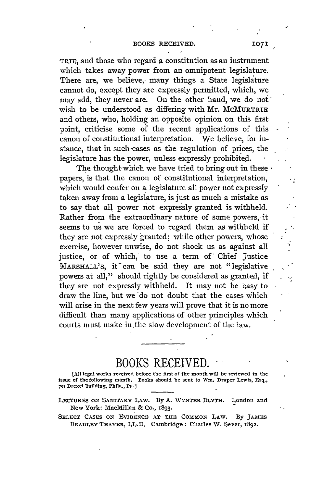## BOOKS RECEIVED.

TRIE, and those who regard a constitution as an instrument which takes away power from an omnipotent legislature. There are, we believe, many things a State legislature cannot do, except they are expressly permitted, which, we may add, they never are. On the other hand, we do not wish to be understood as differing with Mr. MCMURTRIE and others, who, holding an opposite opinion on this first point, criticise some of the recent applications of this canon of constitutional interpretation. We believe, for instance, that in such-cases as the regulation of prices, the legislature has the power, unless expressly prohibited.

The thought which we have tried to bring out in these . papers, is that the canon of constitutional interpretation, which would confer on a legislature all power not expressly taken away from a legislature, is just as much a mistake as to say that all power not expressly granted is withheld. Rather from the extraordinary nature of some powers, **-it** seems to us we are forced to regard them as withheld if they are not expressly granted; while other powers, whose exercise, however unwise, do not shock us as against all justice, or of which, to use a term of Chief Justice MARSHALL'S, it can be said they are not "legislative powers at all," should rightly be considered as granted, if they are not expressly withheld. It may not be easy to draw the line, but we do not doubt that the cases which will arise in the next few years will prove that it is no more difficult than many applications of other principles which courts must make in .the slow development of the law.

## BOOKS RECEI

**[All legal works received before the first of the month will be reviewed in the issue of the following month. Books should be sent to Wm. Draper Lewis, Esq., 70, Drexel Building, Phila., Pa.]**

- LECTURES ON SANITARY LAW. By A. WYNTER BLYTH. London and New York: MacMillan **& Co.,** 1893.
- SELECT CASES ON EVIDENCE AT THE COMMON LAW. By JAMES BRADLEY THAYER, LL.D. Cambridge: Charles W. Sever, 1892.